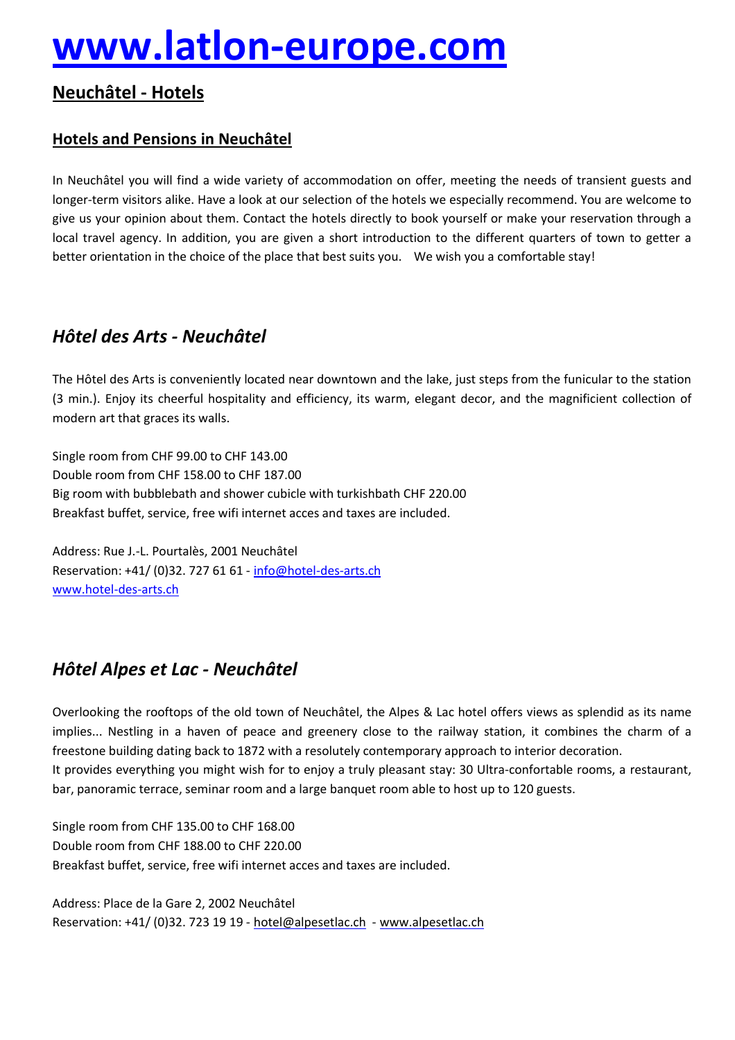# **[www.latlon-europe.com](http://www.latlon-europe.com)**

# **NeuchÄtel - Hotels**

# **Hotels and Pensions in NeuchÄtel**

In NeuchÄtel you will find a wide variety of accommodation on offer, meeting the needs of transient guests and longer-term visitors alike. Have a look at our selection of the hotels we especially recommend. You are welcome to give us your opinion about them. Contact the hotels directly to book yourself or make your reservation through a local travel agency. In addition, you are given a short introduction to the different quarters of town to getter a better orientation in the choice of the place that best suits you. We wish you a comfortable stay!

# *HÄtel des Arts - NeuchÅtel*

The HÅtel des Arts is conveniently located near downtown and the lake, just steps from the funicular to the station (3 min.). Enjoy its cheerful hospitality and efficiency, its warm, elegant decor, and the magnificient collection of modern art that graces its walls.

Single room from CHF 99.00 to CHF 143.00 Double room from CHF 158.00 to CHF 187.00 Big room with bubblebath and shower cubicle with turkishbath CHF 220.00 Breakfast buffet, service, free wifi internet acces and taxes are included.

Address: Rue J.-L. Pourtalès, 2001 Neuchâtel Reservation: +41/ (0)32. 727 61 61 - [info@hotel-des-arts.ch](mailto:info@hotel-des-arts.ch) [www.hotel-des-arts.ch](http://www.hotel-des-arts.ch)

# *HÄtel Alpes et Lac - NeuchÅtel*

Overlooking the rooftops of the old town of NeuchÄtel, the Alpes & Lac hotel offers views as splendid as its name implies... Nestling in a haven of peace and greenery close to the railway station, it combines the charm of a freestone building dating back to 1872 with a resolutely contemporary approach to interior decoration. It provides everything you might wish for to enjoy a truly pleasant stay: 30 Ultra-confortable rooms, a restaurant, bar, panoramic terrace, seminar room and a large banquet room able to host up to 120 guests.

Single room from CHF 135.00 to CHF 168.00 Double room from CHF 188.00 to CHF 220.00 Breakfast buffet, service, free wifi internet acces and taxes are included.

Address: Place de la Gare 2, 2002 Neuchâtel Reservation: +41/ (0)32. 723 19 19 - [hotel@alpesetlac.ch](mailto:hotel@alpesetlac.ch) - [www.alpesetlac.ch](http://www.alpesetlac.ch)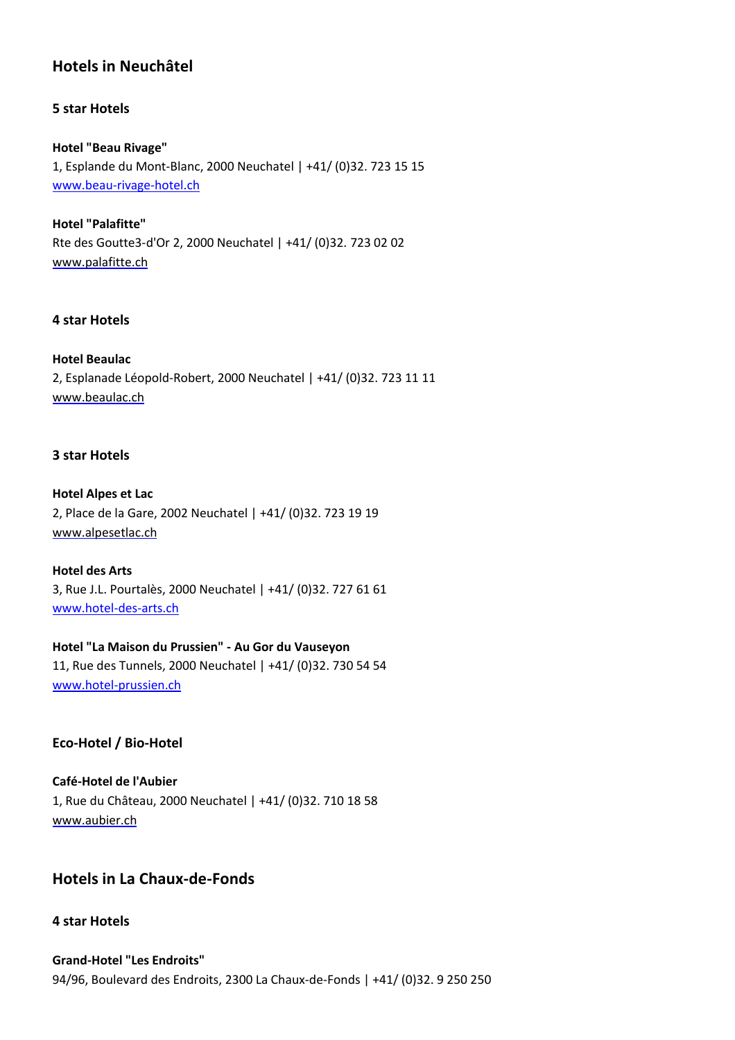# **Hotels in NeuchÄtel**

#### **5 star Hotels**

#### **Hotel "Beau Rivage"**

1, Esplande du Mont-Blanc, 2000 Neuchatel | +41/ (0)32. 723 15 15 [www.beau-rivage-hotel.ch](http://www.beau-rivage-hotel.ch)

**Hotel "Palafitte"** Rte des Goutte3-d'Or 2, 2000 Neuchatel | +41/ (0)32. 723 02 02 [www.palafitte.ch](http://www.palafitte.ch)

#### **4 star Hotels**

#### **Hotel Beaulac**

2, Esplanade LÉopold-Robert, 2000 Neuchatel | +41/ (0)32. 723 11 11 [www.beaulac.ch](http://www.beaulac.ch)

#### **3 star Hotels**

## **Hotel Alpes et Lac** 2, Place de la Gare, 2002 Neuchatel | +41/ (0)32. 723 19 19 [www.alpesetlac.ch](http://www.alpesetlac.ch)

**Hotel des Arts** 3, Rue J.L. Pourtalès, 2000 Neuchatel | +41/ (0)32. 727 61 61 [www.hotel-des-arts.ch](http://www.hotel-des-arts.ch)

**Hotel "La Maison du Prussien" - Au Gor du Vauseyon** 11, Rue des Tunnels, 2000 Neuchatel | +41/ (0)32. 730 54 54 [www.hotel-prussien.ch](http://www.hotel-prussien.ch)

#### **Eco-Hotel / Bio-Hotel**

**Café-Hotel de l'Aubier** 1, Rue du ChÄteau, 2000 Neuchatel | +41/ (0)32. 710 18 58 [www.aubier.ch](http://www.aubier.ch/)

## **Hotels in La Chaux-de-Fonds**

#### **4 star Hotels**

**Grand-Hotel "Les Endroits"** 94/96, Boulevard des Endroits, 2300 La Chaux-de-Fonds | +41/ (0)32. 9 250 250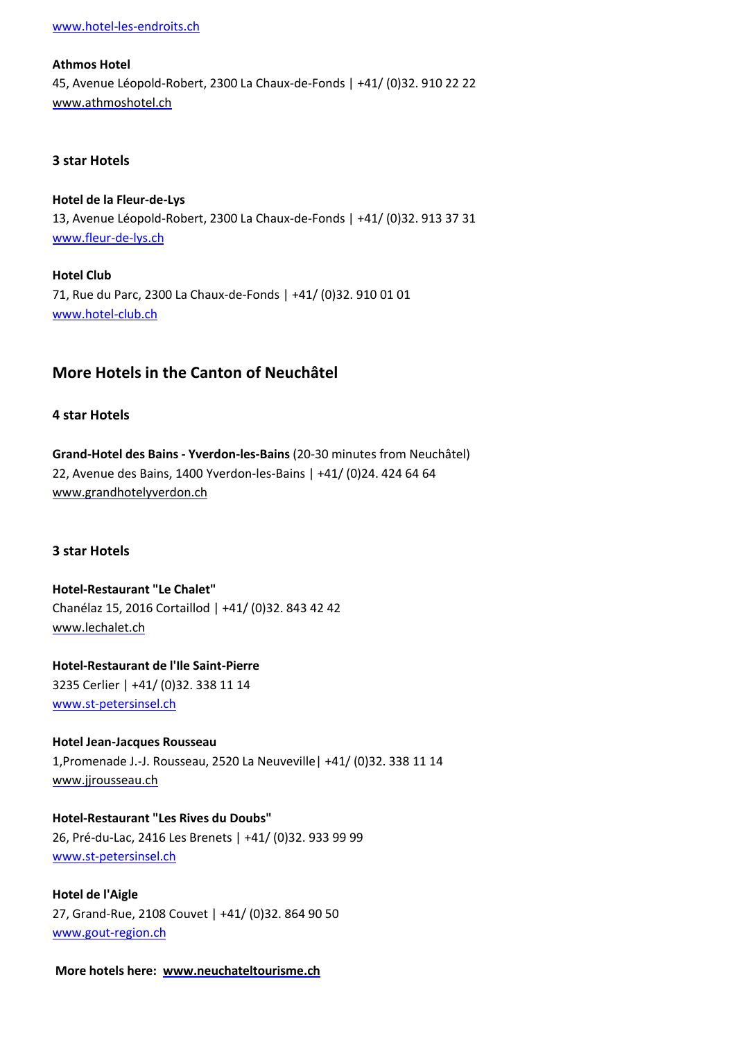[www.hotel-les-endroits.ch](http://www.hotel-les-endroits.ch)

#### **Athmos Hotel**

45, Avenue LÉopold-Robert, 2300 La Chaux-de-Fonds | +41/ (0)32. 910 22 22 [www.athmoshotel.ch](http://www.athmoshotel.ch)

#### **3 star Hotels**

**Hotel de la Fleur-de-Lys** 13, Avenue LÉopold-Robert, 2300 La Chaux-de-Fonds | +41/ (0)32. 913 37 31 [www.fleur-de-lys.ch](http://www.fleur-de-lys.ch)

**Hotel Club** 71, Rue du Parc, 2300 La Chaux-de-Fonds | +41/ (0)32. 910 01 01 [www.hotel-club.c](http://www.hotel-club.ch)[h](http://www.hotel-club.ch/)

# **More Hotels in the Canton of NeuchÄtel**

#### **4 star Hotels**

**Grand-Hotel des Bains - Yverdon-les-Bains** (20-30 minutes from NeuchÄtel) 22, Avenue des Bains, 1400 Yverdon-les-Bains | +41/ (0)24. 424 64 64 [www.grandhotelyverdon.ch](http://www.grandhotelyverdon.ch)

#### **3 star Hotels**

**Hotel-Restaurant "Le Chalet"** ChanÉlaz 15, 2016 Cortaillod | +41/ (0)32. 843 42 42 [www.lechalet.ch](http://www.lechalet.ch)

**Hotel-Restaurant de l'Ile Saint-Pierre** 3235 Cerlier | +41/ (0)32. 338 11 14 [www.st-petersinsel.ch](http://www.st-petersinsel.ch/)

**Hotel Jean-Jacques Rousseau** 1,Promenade J.-J. Rousseau, 2520 La Neuveville| +41/ (0)32. 338 11 14 [www.jjrousseau.ch](http://www.jjrousseau.ch/)

**Hotel-Restaurant "Les Rives du Doubs"** 26, PrÉ-du-Lac, 2416 Les Brenets | +41/ (0)32. 933 99 99 [www.st-petersinsel.ch](http://www.st-petersinsel.ch)

**Hotel de l'Aigle** 27, Grand-Rue, 2108 Couvet | +41/ (0)32. 864 90 50 [www.gout-region.ch](http://www.gout-region.ch)

**More hotels here: [www.neuchateltourisme.ch](http://www.neuchateltourisme.ch)**